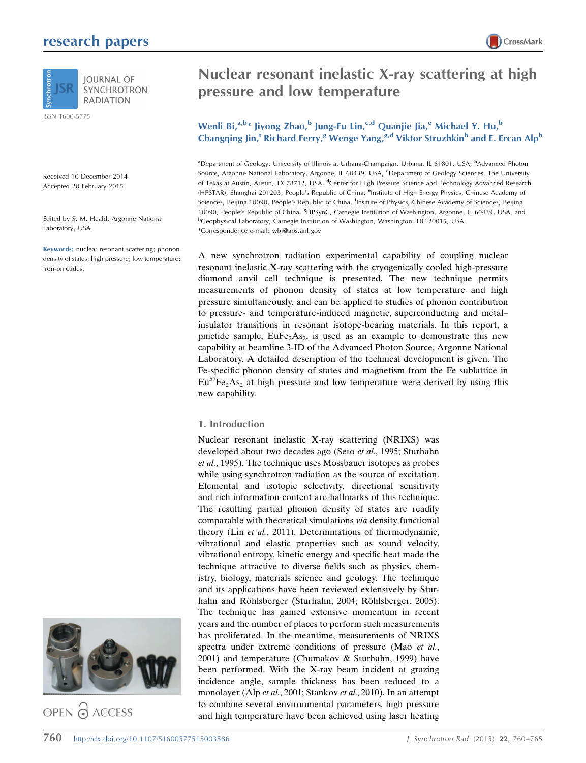# research papers



ISSN 1600-5775

Received 10 December 2014 Accepted 20 February 2015

Edited by S. M. Heald, Argonne National Laboratory, USA

Keywords: nuclear resonant scattering; phonon density of states; high pressure; low temperature; iron-pnictides.



OPEN @ ACCESS



## Wenli Bi, $a,b*$  Jiyong Zhao,<sup>b</sup> Jung-Fu Lin,<sup>c,d</sup> Quanjie Jia,<sup>e</sup> Michael Y. Hu,<sup>b</sup> Changqing Jin,<sup>f</sup> Richard Ferry,<sup>g</sup> Wenge Yang,<sup>g,d</sup> Viktor Struzhkin<sup>h</sup> and E. Ercan Alp<sup>b</sup>

<sup>a</sup> Department of Geology, University of Illinois at Urbana-Champaign, Urbana, IL 61801, USA, <sup>b</sup>Advanced Photon Source, Argonne National Laboratory, Argonne, IL 60439, USA, <sup>c</sup>Department of Geology Sciences, The University of Texas at Austin, Austin, TX 78712, USA, <sup>d</sup>Center for High Pressure Science and Technology Advanced Research (HPSTAR), Shanghai 201203, People's Republic of China, <sup>e</sup>Institute of High Energy Physics, Chinese Academy of Sciences, Beijing 10090, People's Republic of China, <sup>f</sup>Insitute of Physics, Chinese Academy of Sciences, Beijing 10090, People's Republic of China, 8HPSynC, Carnegie Institution of Washington, Argonne, IL 60439, USA, and h Geophysical Laboratory, Carnegie Institution of Washington, Washington, DC 20015, USA. \*Correspondence e-mail: wbi@aps.anl.gov

A new synchrotron radiation experimental capability of coupling nuclear resonant inelastic X-ray scattering with the cryogenically cooled high-pressure diamond anvil cell technique is presented. The new technique permits measurements of phonon density of states at low temperature and high pressure simultaneously, and can be applied to studies of phonon contribution to pressure- and temperature-induced magnetic, superconducting and metal– insulator transitions in resonant isotope-bearing materials. In this report, a pnictide sample,  $EuFe<sub>2</sub>As<sub>2</sub>$ , is used as an example to demonstrate this new capability at beamline 3-ID of the Advanced Photon Source, Argonne National Laboratory. A detailed description of the technical development is given. The Fe-specific phonon density of states and magnetism from the Fe sublattice in  $Eu^{57}Fe<sub>2</sub>As<sub>2</sub>$  at high pressure and low temperature were derived by using this new capability.

#### 1. Introduction

Nuclear resonant inelastic X-ray scattering (NRIXS) was developed about two decades ago (Seto et al., 1995; Sturhahn et al., 1995). The technique uses Mössbauer isotopes as probes while using synchrotron radiation as the source of excitation. Elemental and isotopic selectivity, directional sensitivity and rich information content are hallmarks of this technique. The resulting partial phonon density of states are readily comparable with theoretical simulations via density functional theory (Lin et al., 2011). Determinations of thermodynamic, vibrational and elastic properties such as sound velocity, vibrational entropy, kinetic energy and specific heat made the technique attractive to diverse fields such as physics, chemistry, biology, materials science and geology. The technique and its applications have been reviewed extensively by Sturhahn and Röhlsberger (Sturhahn, 2004; Röhlsberger, 2005). The technique has gained extensive momentum in recent years and the number of places to perform such measurements has proliferated. In the meantime, measurements of NRIXS spectra under extreme conditions of pressure (Mao et al., 2001) and temperature (Chumakov & Sturhahn, 1999) have been performed. With the X-ray beam incident at grazing incidence angle, sample thickness has been reduced to a monolayer (Alp et al., 2001; Stankov et al., 2010). In an attempt to combine several environmental parameters, high pressure and high temperature have been achieved using laser heating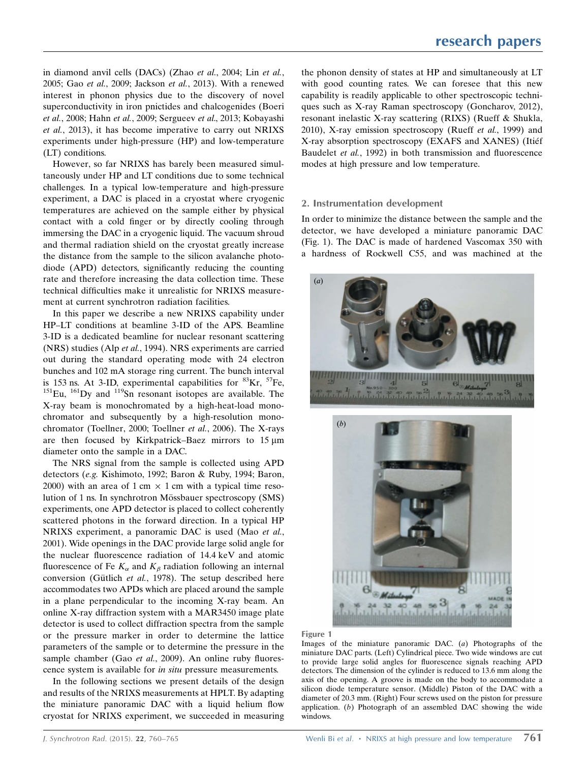in diamond anvil cells (DACs) (Zhao et al., 2004; Lin et al., 2005; Gao et al., 2009; Jackson et al., 2013). With a renewed interest in phonon physics due to the discovery of novel superconductivity in iron pnictides and chalcogenides (Boeri et al., 2008; Hahn et al., 2009; Sergueev et al., 2013; Kobayashi et al., 2013), it has become imperative to carry out NRIXS experiments under high-pressure (HP) and low-temperature (LT) conditions.

However, so far NRIXS has barely been measured simultaneously under HP and LT conditions due to some technical challenges. In a typical low-temperature and high-pressure experiment, a DAC is placed in a cryostat where cryogenic temperatures are achieved on the sample either by physical contact with a cold finger or by directly cooling through immersing the DAC in a cryogenic liquid. The vacuum shroud and thermal radiation shield on the cryostat greatly increase the distance from the sample to the silicon avalanche photodiode (APD) detectors, significantly reducing the counting rate and therefore increasing the data collection time. These technical difficulties make it unrealistic for NRIXS measurement at current synchrotron radiation facilities.

In this paper we describe a new NRIXS capability under HP–LT conditions at beamline 3-ID of the APS. Beamline 3-ID is a dedicated beamline for nuclear resonant scattering (NRS) studies (Alp et al., 1994). NRS experiments are carried out during the standard operating mode with 24 electron bunches and 102 mA storage ring current. The bunch interval is 153 ns. At 3-ID, experimental capabilities for  ${}^{83}$ Kr,  ${}^{57}$ Fe,  ${}^{151}$ Eu,  ${}^{161}$ Dy and  ${}^{119}$ Sn resonant isotopes are available. The X-ray beam is monochromated by a high-heat-load monochromator and subsequently by a high-resolution monochromator (Toellner, 2000; Toellner et al., 2006). The X-rays are then focused by Kirkpatrick–Baez mirrors to  $15 \mu m$ diameter onto the sample in a DAC.

The NRS signal from the sample is collected using APD detectors (e.g. Kishimoto, 1992; Baron & Ruby, 1994; Baron, 2000) with an area of  $1 \text{ cm} \times 1 \text{ cm}$  with a typical time resolution of 1 ns. In synchrotron Mössbauer spectroscopy (SMS) experiments, one APD detector is placed to collect coherently scattered photons in the forward direction. In a typical HP NRIXS experiment, a panoramic DAC is used (Mao et al., 2001). Wide openings in the DAC provide large solid angle for the nuclear fluorescence radiation of 14.4 keV and atomic fluorescence of Fe  $K_{\alpha}$  and  $K_{\beta}$  radiation following an internal conversion (Gütlich et al., 1978). The setup described here accommodates two APDs which are placed around the sample in a plane perpendicular to the incoming X-ray beam. An online X-ray diffraction system with a MAR3450 image plate detector is used to collect diffraction spectra from the sample or the pressure marker in order to determine the lattice parameters of the sample or to determine the pressure in the sample chamber (Gao et al., 2009). An online ruby fluorescence system is available for in situ pressure measurements.

In the following sections we present details of the design and results of the NRIXS measurements at HPLT. By adapting the miniature panoramic DAC with a liquid helium flow cryostat for NRIXS experiment, we succeeded in measuring the phonon density of states at HP and simultaneously at LT with good counting rates. We can foresee that this new capability is readily applicable to other spectroscopic techniques such as X-ray Raman spectroscopy (Goncharov, 2012), resonant inelastic X-ray scattering (RIXS) (Rueff & Shukla, 2010), X-ray emission spectroscopy (Rueff et al., 1999) and X-ray absorption spectroscopy (EXAFS and XANES) (Itiéf Baudelet et al., 1992) in both transmission and fluorescence modes at high pressure and low temperature.

#### 2. Instrumentation development

In order to minimize the distance between the sample and the detector, we have developed a miniature panoramic DAC (Fig. 1). The DAC is made of hardened Vascomax 350 with a hardness of Rockwell C55, and was machined at the



Figure 1

Images of the miniature panoramic DAC. (a) Photographs of the miniature DAC parts. (Left) Cylindrical piece. Two wide windows are cut to provide large solid angles for fluorescence signals reaching APD detectors. The dimension of the cylinder is reduced to 13.6 mm along the axis of the opening. A groove is made on the body to accommodate a silicon diode temperature sensor. (Middle) Piston of the DAC with a diameter of 20.3 mm. (Right) Four screws used on the piston for pressure application. (b) Photograph of an assembled DAC showing the wide windows.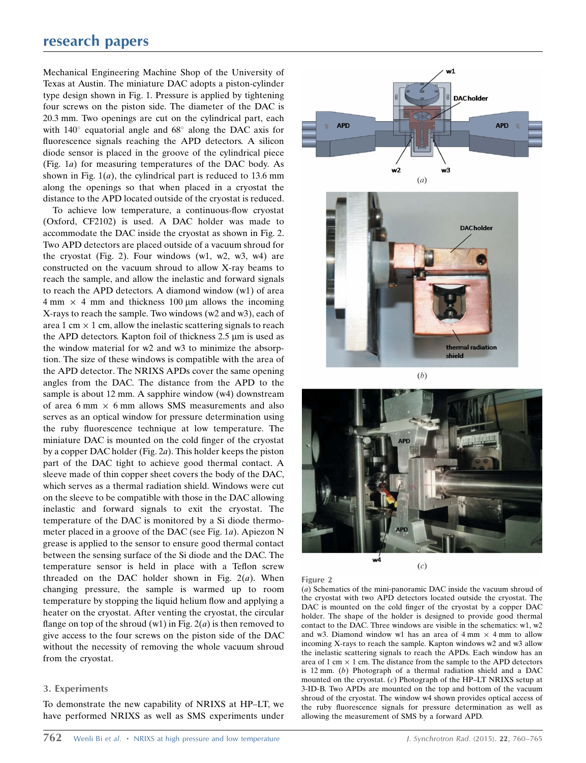## research papers

Mechanical Engineering Machine Shop of the University of Texas at Austin. The miniature DAC adopts a piston-cylinder type design shown in Fig. 1. Pressure is applied by tightening four screws on the piston side. The diameter of the DAC is 20.3 mm. Two openings are cut on the cylindrical part, each with  $140^{\circ}$  equatorial angle and  $68^{\circ}$  along the DAC axis for fluorescence signals reaching the APD detectors. A silicon diode sensor is placed in the groove of the cylindrical piece (Fig. 1a) for measuring temperatures of the DAC body. As shown in Fig.  $1(a)$ , the cylindrical part is reduced to 13.6 mm along the openings so that when placed in a cryostat the distance to the APD located outside of the cryostat is reduced.

To achieve low temperature, a continuous-flow cryostat (Oxford, CF2102) is used. A DAC holder was made to accommodate the DAC inside the cryostat as shown in Fig. 2. Two APD detectors are placed outside of a vacuum shroud for the cryostat (Fig. 2). Four windows  $(w1, w2, w3, w4)$  are constructed on the vacuum shroud to allow X-ray beams to reach the sample, and allow the inelastic and forward signals to reach the APD detectors. A diamond window (w1) of area  $4 \text{ mm} \times 4 \text{ mm}$  and thickness 100  $\mu$ m allows the incoming X-rays to reach the sample. Two windows (w2 and w3), each of area 1 cm  $\times$  1 cm, allow the inelastic scattering signals to reach the APD detectors. Kapton foil of thickness  $2.5 \mu m$  is used as the window material for w2 and w3 to minimize the absorption. The size of these windows is compatible with the area of the APD detector. The NRIXS APDs cover the same opening angles from the DAC. The distance from the APD to the sample is about 12 mm. A sapphire window (w4) downstream of area  $6 \text{ mm} \times 6 \text{ mm}$  allows SMS measurements and also serves as an optical window for pressure determination using the ruby fluorescence technique at low temperature. The miniature DAC is mounted on the cold finger of the cryostat by a copper DAC holder (Fig. 2a). This holder keeps the piston part of the DAC tight to achieve good thermal contact. A sleeve made of thin copper sheet covers the body of the DAC, which serves as a thermal radiation shield. Windows were cut on the sleeve to be compatible with those in the DAC allowing inelastic and forward signals to exit the cryostat. The temperature of the DAC is monitored by a Si diode thermometer placed in a groove of the DAC (see Fig. 1a). Apiezon N grease is applied to the sensor to ensure good thermal contact between the sensing surface of the Si diode and the DAC. The temperature sensor is held in place with a Teflon screw threaded on the DAC holder shown in Fig.  $2(a)$ . When changing pressure, the sample is warmed up to room temperature by stopping the liquid helium flow and applying a heater on the cryostat. After venting the cryostat, the circular flange on top of the shroud (w1) in Fig.  $2(a)$  is then removed to give access to the four screws on the piston side of the DAC without the necessity of removing the whole vacuum shroud from the cryostat.

### 3. Experiments

To demonstrate the new capability of NRIXS at HP–LT, we have performed NRIXS as well as SMS experiments under





 $(c)$ 

Figure 2

(a) Schematics of the mini-panoramic DAC inside the vacuum shroud of the cryostat with two APD detectors located outside the cryostat. The DAC is mounted on the cold finger of the cryostat by a copper DAC holder. The shape of the holder is designed to provide good thermal contact to the DAC. Three windows are visible in the schematics: w1, w2 and w3. Diamond window w1 has an area of  $4 \text{ mm} \times 4 \text{ mm}$  to allow incoming X-rays to reach the sample. Kapton windows w2 and w3 allow the inelastic scattering signals to reach the APDs. Each window has an area of 1 cm  $\times$  1 cm. The distance from the sample to the APD detectors is 12 mm. (b) Photograph of a thermal radiation shield and a DAC mounted on the cryostat. (c) Photograph of the HP–LT NRIXS setup at 3-ID-B. Two APDs are mounted on the top and bottom of the vacuum shroud of the cryostat. The window w4 shown provides optical access of the ruby fluorescence signals for pressure determination as well as allowing the measurement of SMS by a forward APD.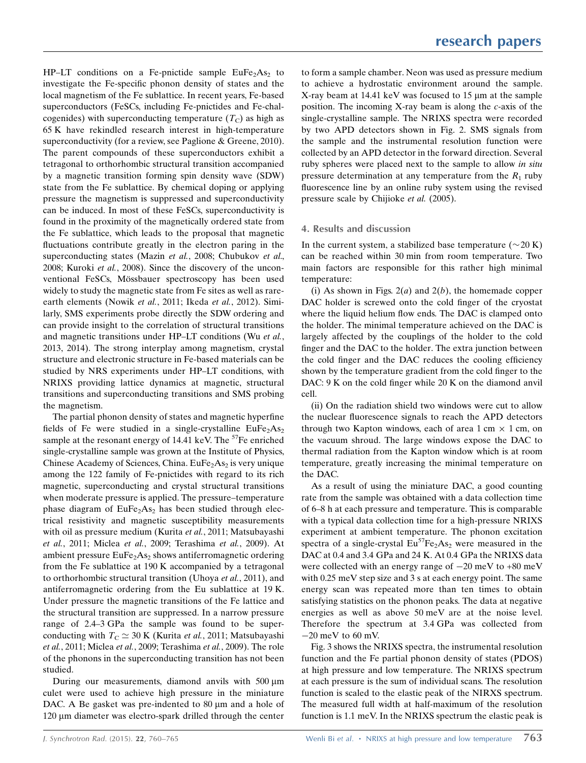HP–LT conditions on a Fe-pnictide sample  $EuFe<sub>2</sub>As<sub>2</sub>$  to investigate the Fe-specific phonon density of states and the local magnetism of the Fe sublattice. In recent years, Fe-based superconductors (FeSCs, including Fe-pnictides and Fe-chalcogenides) with superconducting temperature  $(T_C)$  as high as 65 K have rekindled research interest in high-temperature superconductivity (for a review, see Paglione & Greene, 2010). The parent compounds of these superconductors exhibit a tetragonal to orthorhombic structural transition accompanied by a magnetic transition forming spin density wave (SDW) state from the Fe sublattice. By chemical doping or applying pressure the magnetism is suppressed and superconductivity can be induced. In most of these FeSCs, superconductivity is found in the proximity of the magnetically ordered state from the Fe sublattice, which leads to the proposal that magnetic fluctuations contribute greatly in the electron paring in the superconducting states (Mazin et al., 2008; Chubukov et al., 2008; Kuroki et al., 2008). Since the discovery of the unconventional FeSCs, Mössbauer spectroscopy has been used widely to study the magnetic state from Fe sites as well as rareearth elements (Nowik et al., 2011; Ikeda et al., 2012). Similarly, SMS experiments probe directly the SDW ordering and can provide insight to the correlation of structural transitions and magnetic transitions under HP–LT conditions (Wu et al., 2013, 2014). The strong interplay among magnetism, crystal structure and electronic structure in Fe-based materials can be studied by NRS experiments under HP–LT conditions, with NRIXS providing lattice dynamics at magnetic, structural transitions and superconducting transitions and SMS probing the magnetism.

The partial phonon density of states and magnetic hyperfine fields of Fe were studied in a single-crystalline  $EuFe<sub>2</sub>As<sub>2</sub>$ sample at the resonant energy of 14.41 keV. The  $57$ Fe enriched single-crystalline sample was grown at the Institute of Physics, Chinese Academy of Sciences, China.  $EuFe<sub>2</sub>As<sub>2</sub>$  is very unique among the 122 family of Fe-pnictides with regard to its rich magnetic, superconducting and crystal structural transitions when moderate pressure is applied. The pressure–temperature phase diagram of  $EuFe<sub>2</sub>As<sub>2</sub>$  has been studied through electrical resistivity and magnetic susceptibility measurements with oil as pressure medium (Kurita et al., 2011; Matsubayashi et al., 2011; Miclea et al., 2009; Terashima et al., 2009). At ambient pressure  $EuFe<sub>2</sub>As<sub>2</sub>$  shows antiferromagnetic ordering from the Fe sublattice at 190 K accompanied by a tetragonal to orthorhombic structural transition (Uhoya et al., 2011), and antiferromagnetic ordering from the Eu sublattice at 19 K. Under pressure the magnetic transitions of the Fe lattice and the structural transition are suppressed. In a narrow pressure range of 2.4–3 GPa the sample was found to be superconducting with  $T_C \simeq 30$  K (Kurita *et al.*, 2011; Matsubayashi et al., 2011; Miclea et al., 2009; Terashima et al., 2009). The role of the phonons in the superconducting transition has not been studied.

During our measurements, diamond anvils with 500  $\mu$ m culet were used to achieve high pressure in the miniature DAC. A Be gasket was pre-indented to  $80 \mu m$  and a hole of 120 µm diameter was electro-spark drilled through the center

to form a sample chamber. Neon was used as pressure medium to achieve a hydrostatic environment around the sample. X-ray beam at 14.41 keV was focused to 15  $\mu$ m at the sample position. The incoming X-ray beam is along the c-axis of the single-crystalline sample. The NRIXS spectra were recorded by two APD detectors shown in Fig. 2. SMS signals from the sample and the instrumental resolution function were collected by an APD detector in the forward direction. Several ruby spheres were placed next to the sample to allow in situ pressure determination at any temperature from the  $R_1$  ruby fluorescence line by an online ruby system using the revised pressure scale by Chijioke et al. (2005).

### 4. Results and discussion

In the current system, a stabilized base temperature  $(\sim 20 \text{ K})$ can be reached within 30 min from room temperature. Two main factors are responsible for this rather high minimal temperature:

(i) As shown in Figs.  $2(a)$  and  $2(b)$ , the homemade copper DAC holder is screwed onto the cold finger of the cryostat where the liquid helium flow ends. The DAC is clamped onto the holder. The minimal temperature achieved on the DAC is largely affected by the couplings of the holder to the cold finger and the DAC to the holder. The extra junction between the cold finger and the DAC reduces the cooling efficiency shown by the temperature gradient from the cold finger to the DAC: 9 K on the cold finger while 20 K on the diamond anvil cell.

(ii) On the radiation shield two windows were cut to allow the nuclear fluorescence signals to reach the APD detectors through two Kapton windows, each of area  $1 \text{ cm} \times 1 \text{ cm}$ , on the vacuum shroud. The large windows expose the DAC to thermal radiation from the Kapton window which is at room temperature, greatly increasing the minimal temperature on the DAC.

As a result of using the miniature DAC, a good counting rate from the sample was obtained with a data collection time of 6–8 h at each pressure and temperature. This is comparable with a typical data collection time for a high-pressure NRIXS experiment at ambient temperature. The phonon excitation spectra of a single-crystal  $Eu^{57}Fe<sub>2</sub>As<sub>2</sub>$  were measured in the DAC at 0.4 and 3.4 GPa and 24 K. At 0.4 GPa the NRIXS data were collected with an energy range of  $-20$  meV to  $+80$  meV with 0.25 meV step size and 3 s at each energy point. The same energy scan was repeated more than ten times to obtain satisfying statistics on the phonon peaks. The data at negative energies as well as above 50 meV are at the noise level. Therefore the spectrum at 3.4 GPa was collected from  $-20$  meV to 60 mV.

Fig. 3 shows the NRIXS spectra, the instrumental resolution function and the Fe partial phonon density of states (PDOS) at high pressure and low temperature. The NRIXS spectrum at each pressure is the sum of individual scans. The resolution function is scaled to the elastic peak of the NIRXS spectrum. The measured full width at half-maximum of the resolution function is 1.1 meV. In the NRIXS spectrum the elastic peak is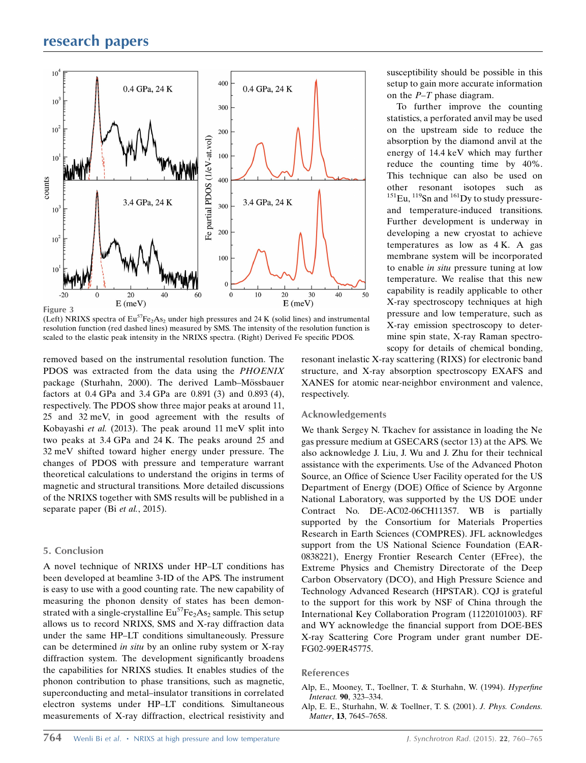

(Left) NRIXS spectra of  $Eu^{57}Fe<sub>2</sub>As<sub>2</sub>$  under high pressures and 24 K (solid lines) and instrumental resolution function (red dashed lines) measured by SMS. The intensity of the resolution function is scaled to the elastic peak intensity in the NRIXS spectra. (Right) Derived Fe specific PDOS.

removed based on the instrumental resolution function. The PDOS was extracted from the data using the PHOENIX package (Sturhahn, 2000). The derived Lamb-Mössbauer factors at 0.4 GPa and 3.4 GPa are 0.891 (3) and 0.893 (4), respectively. The PDOS show three major peaks at around 11, 25 and 32 meV, in good agreement with the results of Kobayashi et al. (2013). The peak around 11 meV split into two peaks at 3.4 GPa and 24 K. The peaks around 25 and 32 meV shifted toward higher energy under pressure. The changes of PDOS with pressure and temperature warrant theoretical calculations to understand the origins in terms of magnetic and structural transitions. More detailed discussions of the NRIXS together with SMS results will be published in a separate paper (Bi et al., 2015).

#### 5. Conclusion

A novel technique of NRIXS under HP–LT conditions has been developed at beamline 3-ID of the APS. The instrument is easy to use with a good counting rate. The new capability of measuring the phonon density of states has been demonstrated with a single-crystalline  $Eu^{57}Fe<sub>2</sub>As<sub>2</sub>$  sample. This setup allows us to record NRIXS, SMS and X-ray diffraction data under the same HP–LT conditions simultaneously. Pressure can be determined in situ by an online ruby system or X-ray diffraction system. The development significantly broadens the capabilities for NRIXS studies. It enables studies of the phonon contribution to phase transitions, such as magnetic, superconducting and metal–insulator transitions in correlated electron systems under HP–LT conditions. Simultaneous measurements of X-ray diffraction, electrical resistivity and susceptibility should be possible in this setup to gain more accurate information on the  $P-T$  phase diagram.

To further improve the counting statistics, a perforated anvil may be used on the upstream side to reduce the absorption by the diamond anvil at the energy of 14.4 keV which may further reduce the counting time by 40%. This technique can also be used on other resonant isotopes such as  $^{151}$ Eu,  $^{119}$ Sn and  $^{161}$ Dy to study pressureand temperature-induced transitions. Further development is underway in developing a new cryostat to achieve temperatures as low as 4 K. A gas membrane system will be incorporated to enable in situ pressure tuning at low temperature. We realise that this new capability is readily applicable to other X-ray spectroscopy techniques at high pressure and low temperature, such as X-ray emission spectroscopy to determine spin state, X-ray Raman spectroscopy for details of chemical bonding,

resonant inelastic X-ray scattering (RIXS) for electronic band structure, and X-ray absorption spectroscopy EXAFS and XANES for atomic near-neighbor environment and valence, respectively.

#### Acknowledgements

We thank Sergey N. Tkachev for assistance in loading the Ne gas pressure medium at GSECARS (sector 13) at the APS. We also acknowledge J. Liu, J. Wu and J. Zhu for their technical assistance with the experiments. Use of the Advanced Photon Source, an Office of Science User Facility operated for the US Department of Energy (DOE) Office of Science by Argonne National Laboratory, was supported by the US DOE under Contract No. DE-AC02-06CH11357. WB is partially supported by the Consortium for Materials Properties Research in Earth Sciences (COMPRES). JFL acknowledges support from the US National Science Foundation (EAR-0838221), Energy Frontier Research Center (EFree), the Extreme Physics and Chemistry Directorate of the Deep Carbon Observatory (DCO), and High Pressure Science and Technology Advanced Research (HPSTAR). CQJ is grateful to the support for this work by NSF of China through the International Key Collaboration Program (11220101003). RF and WY acknowledge the financial support from DOE-BES X-ray Scattering Core Program under grant number DE-FG02-99ER45775.

#### References

[Alp, E., Mooney, T., Toellner, T. & Sturhahn, W. \(1994\).](http://scripts.iucr.org/cgi-bin/cr.cgi?rm=pdfbb&cnor=hf5283&bbid=BB1) Hyperfine Interact. 90[, 323–334.](http://scripts.iucr.org/cgi-bin/cr.cgi?rm=pdfbb&cnor=hf5283&bbid=BB1)

[Alp, E. E., Sturhahn, W. & Toellner, T. S. \(2001\).](http://scripts.iucr.org/cgi-bin/cr.cgi?rm=pdfbb&cnor=hf5283&bbid=BB2) J. Phys. Condens. Matter, 13[, 7645–7658.](http://scripts.iucr.org/cgi-bin/cr.cgi?rm=pdfbb&cnor=hf5283&bbid=BB2)